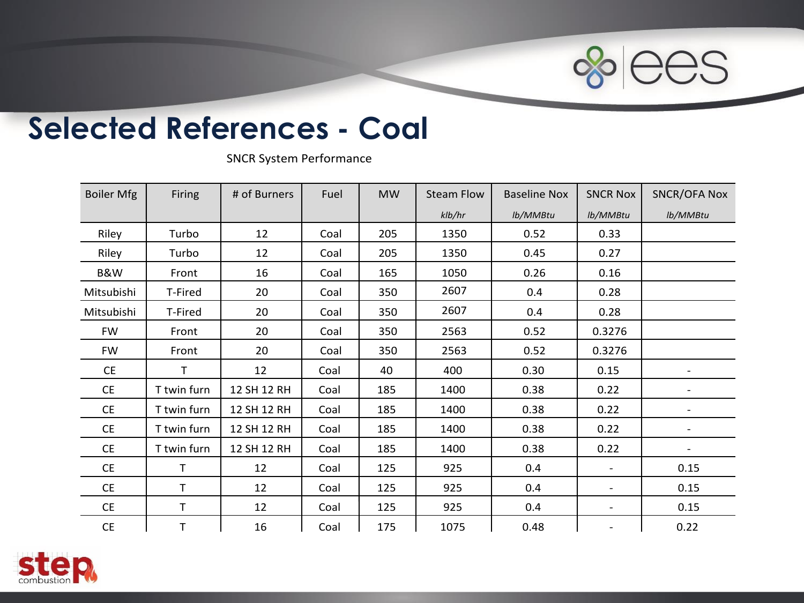

## **Selected References - Coal**

SNCR System Performance

| <b>Boiler Mfg</b>                                                  | Firing       | # of Burners | Fuel | <b>MW</b> | <b>Steam Flow</b> | <b>Baseline Nox</b> | <b>SNCR Nox</b> | <b>SNCR/OFA Nox</b>      |
|--------------------------------------------------------------------|--------------|--------------|------|-----------|-------------------|---------------------|-----------------|--------------------------|
|                                                                    |              |              |      |           | klb/hr            | lb/MMBtu            | lb/MMBtu        | lb/MMBtu                 |
| Riley                                                              | Turbo        | 12           | Coal | 205       | 1350              | 0.52                | 0.33            |                          |
| Riley                                                              | Turbo        | 12           | Coal | 205       | 1350              | 0.45                | 0.27            |                          |
| B&W                                                                | Front        | 16           | Coal | 165       | 1050              | 0.26                | 0.16            |                          |
| Mitsubishi                                                         | T-Fired      | 20           | Coal | 350       | 2607              | 0.4                 | 0.28            |                          |
| Mitsubishi                                                         | T-Fired      | 20           | Coal | 350       | 2607              | 0.4                 | 0.28            |                          |
| <b>FW</b>                                                          | Front        | 20           | Coal | 350       | 2563              | 0.52                | 0.3276          |                          |
| FW                                                                 | Front        | 20           | Coal | 350       | 2563              | 0.52                | 0.3276          |                          |
| CE                                                                 | $\mathsf{T}$ | 12           | Coal | 40        | 400               | 0.30                | 0.15            |                          |
| <b>CE</b>                                                          | T twin furn  | 12 SH 12 RH  | Coal | 185       | 1400              | 0.38                | 0.22            | $\overline{\phantom{a}}$ |
| <b>CE</b>                                                          | T twin furn  | 12 SH 12 RH  | Coal | 185       | 1400              | 0.38                | 0.22            |                          |
| CE                                                                 | T twin furn  | 12 SH 12 RH  | Coal | 185       | 1400              | 0.38                | 0.22            | $\overline{\phantom{a}}$ |
| CE                                                                 | T twin furn  | 12 SH 12 RH  | Coal | 185       | 1400              | 0.38                | 0.22            | $\blacksquare$           |
| CE                                                                 | $\mathsf{T}$ | 12           | Coal | 125       | 925               | 0.4                 | $\sim$          | 0.15                     |
| CE                                                                 | $\mathsf T$  | 12           | Coal | 125       | 925               | 0.4                 | $\blacksquare$  | 0.15                     |
| CE                                                                 | $\mathsf T$  | 12           | Coal | 125       | 925               | 0.4                 | $\sim$          | 0.15                     |
| $\mathsf{CE}% _{\mathcal{A}}\left( \mathcal{A},\mathcal{A}\right)$ | $\top$       | 16           | Coal | 175       | 1075              | 0.48                |                 | 0.22                     |